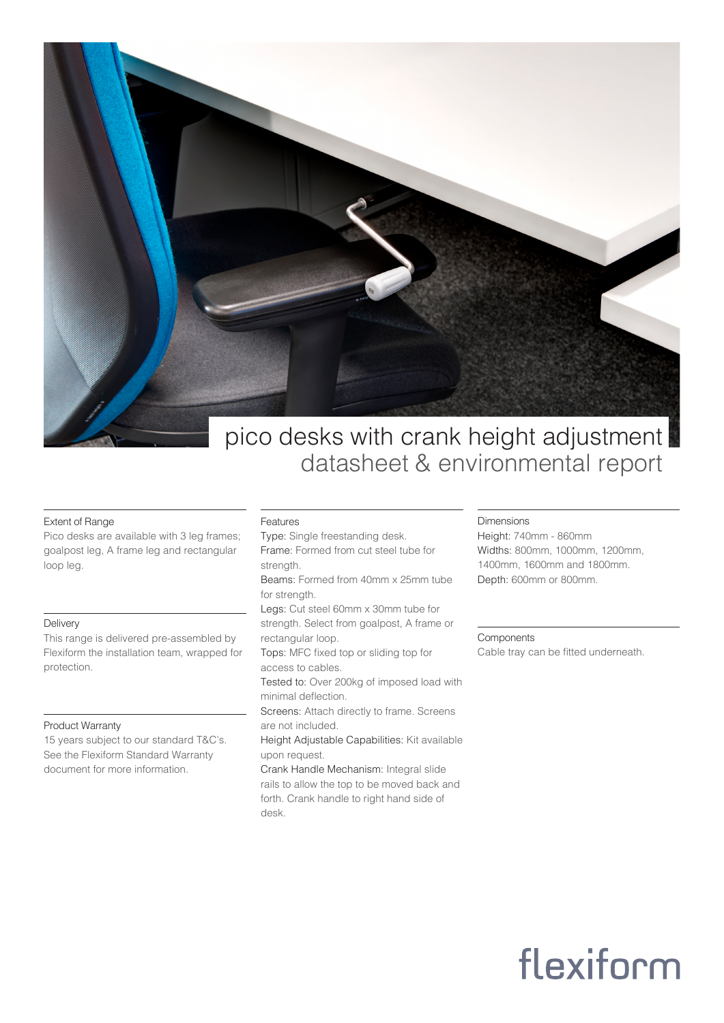

# pico desks with crank height adjustment datasheet & environmental report

# Extent of Range

Pico desks are available with 3 leg frames; goalpost leg, A frame leg and rectangular loop leg.

### **Delivery**

This range is delivered pre-assembled by Flexiform the installation team, wrapped for protection.

## Product Warranty

15 years subject to our standard T&C's. See the Flexiform Standard Warranty document for more information.

### Features

- Type: Single freestanding desk.
- Frame: Formed from cut steel tube for strength.
- Beams: Formed from 40mm x 25mm tube for strength.
- Legs: Cut steel 60mm x 30mm tube for strength. Select from goalpost, A frame or rectangular loop.
- Tops: MFC fixed top or sliding top for access to cables.
- Tested to: Over 200kg of imposed load with minimal deflection.
- Screens: Attach directly to frame. Screens are not included.
- Height Adjustable Capabilities: Kit available upon request.
- Crank Handle Mechanism: Integral slide rails to allow the top to be moved back and forth. Crank handle to right hand side of desk.

# Dimensions

Height: 740mm - 860mm Widths: 800mm, 1000mm, 1200mm, 1400mm, 1600mm and 1800mm. Depth: 600mm or 800mm.

#### **Components**

Cable tray can be fitted underneath.

# flexiform